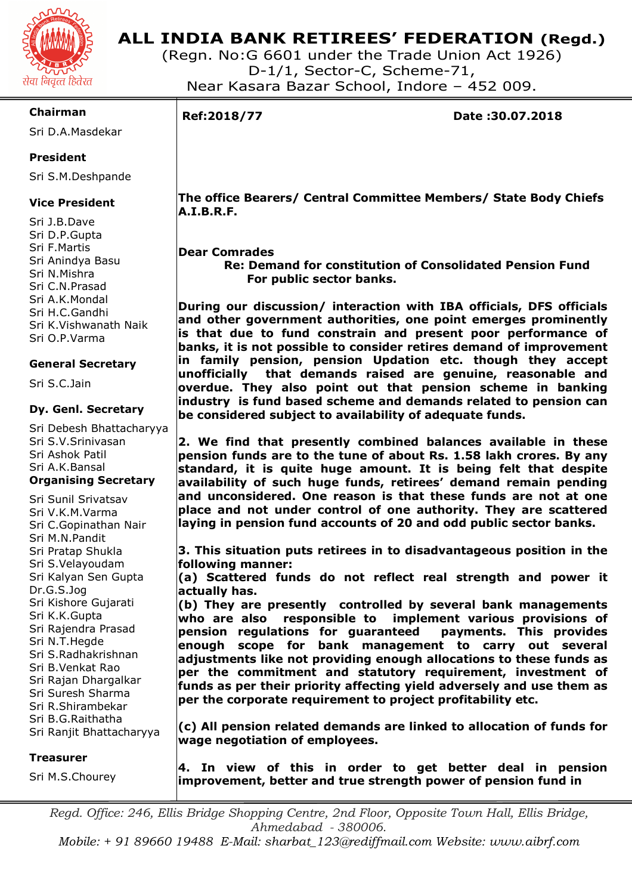

# **ALL INDIA BANK RETIREES' FEDERATION (Regd.)**

(Regn. No:G 6601 under the Trade Union Act 1926) D-1/1, Sector-C, Scheme-71, Near Kasara Bazar School, Indore – 452 009.

### **Chairman**

Sri D.A.Masdekar

### **President**

Sri S.M.Deshpande

### **Vice President**

Sri J.B.Dave Sri D.P.Gupta Sri F.Martis Sri Anindya Basu Sri N.Mishra Sri C.N.Prasad Sri A.K.Mondal Sri H.C.Gandhi Sri K.Vishwanath Naik Sri O.P.Varma

### **General Secretary**

Sri S.C.Jain

### **Dy. Genl. Secretary**

Sri Debesh Bhattacharyya Sri S.V.Srinivasan Sri Ashok Patil Sri A.K.Bansal **Organising Secretary** 

Sri Sunil Srivatsav Sri V.K.M.Varma Sri C.Gopinathan Nair Sri M.N.Pandit Sri Pratap Shukla Sri S.Velayoudam Sri Kalyan Sen Gupta Dr.G.S.Jog Sri Kishore Gujarati Sri K.K.Gupta Sri Rajendra Prasad Sri N.T.Hegde Sri S.Radhakrishnan Sri B.Venkat Rao Sri Rajan Dhargalkar Sri Suresh Sharma Sri R.Shirambekar Sri B.G.Raithatha Sri Ranjit Bhattacharyya

### **Treasurer**

Sri M.S.Chourey

**improvement, better and true strength power of pension fund in** 

*Regd. Office: 246, Ellis Bridge Shopping Centre, 2nd Floor, Opposite Town Hall, Ellis Bridge, Ahmedabad - 380006.* 

*Mobile: + 91 89660 19488 E-Mail: sharbat\_123@rediffmail.com Website: www.aibrf.com* 

I

**Ref:2018/77 Date :30.07.2018** 

 **The office Bearers/ Central Committee Members/ State Body Chiefs A.I.B.R.F.** 

### **Dear Comrades**

 **Re: Demand for constitution of Consolidated Pension Fund For public sector banks.** 

**During our discussion/ interaction with IBA officials, DFS officials and other government authorities, one point emerges prominently is that due to fund constrain and present poor performance of banks, it is not possible to consider retires demand of improvement in family pension, pension Updation etc. though they accept unofficially that demands raised are genuine, reasonable and overdue. They also point out that pension scheme in banking industry is fund based scheme and demands related to pension can be considered subject to availability of adequate funds.** 

**2. We find that presently combined balances available in these pension funds are to the tune of about Rs. 1.58 lakh crores. By any standard, it is quite huge amount. It is being felt that despite availability of such huge funds, retirees' demand remain pending and unconsidered. One reason is that these funds are not at one place and not under control of one authority. They are scattered laying in pension fund accounts of 20 and odd public sector banks.** 

**3. This situation puts retirees in to disadvantageous position in the following manner:** 

**(a) Scattered funds do not reflect real strength and power it actually has.** 

**(b) They are presently controlled by several bank managements who are also responsible to implement various provisions of pension regulations for guaranteed payments. This provides enough scope for bank management to carry out several adjustments like not providing enough allocations to these funds as per the commitment and statutory requirement, investment of funds as per their priority affecting yield adversely and use them as per the corporate requirement to project profitability etc.** 

**wage negotiation of employees. 4. In view of this in order to get better deal in pension** 

**(c) All pension related demands are linked to allocation of funds for**